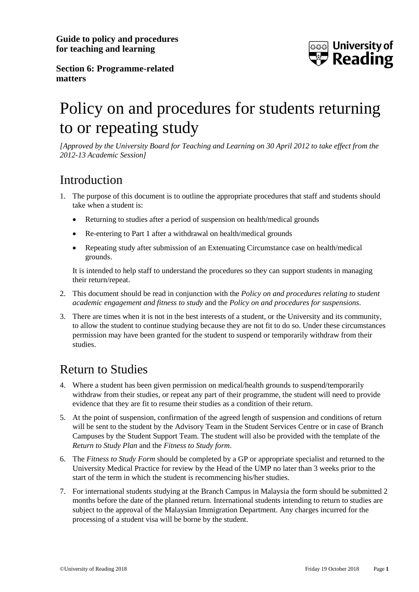**Guide to policy and procedures for teaching and learning**



**Section 6: Programme-related matters**

## Policy on and procedures for students returning to or repeating study

*[Approved by the University Board for Teaching and Learning on 30 April 2012 to take effect from the 2012-13 Academic Session]*

## Introduction

- 1. The purpose of this document is to outline the appropriate procedures that staff and students should take when a student is:
	- Returning to studies after a period of suspension on health/medical grounds
	- Re-entering to Part 1 after a withdrawal on health/medical grounds
	- Repeating study after submission of an Extenuating Circumstance case on health/medical grounds.

It is intended to help staff to understand the procedures so they can support students in managing their return/repeat.

- 2. This document should be read in conjunction with the *Policy on and procedures relating to student academic engagement and fitness to study* and the *Policy on and procedures for suspensions*.
- 3. There are times when it is not in the best interests of a student, or the University and its community, to allow the student to continue studying because they are not fit to do so. Under these circumstances permission may have been granted for the student to suspend or temporarily withdraw from their studies.

## Return to Studies

- 4. Where a student has been given permission on medical/health grounds to suspend/temporarily withdraw from their studies, or repeat any part of their programme, the student will need to provide evidence that they are fit to resume their studies as a condition of their return.
- 5. At the point of suspension, confirmation of the agreed length of suspension and conditions of return will be sent to the student by the Advisory Team in the Student Services Centre or in case of Branch Campuses by the Student Support Team. The student will also be provided with the template of the *Return to Study Plan* and the *Fitness to Study form*.
- 6. The *Fitness to Study Form* should be completed by a GP or appropriate specialist and returned to the University Medical Practice for review by the Head of the UMP no later than 3 weeks prior to the start of the term in which the student is recommencing his/her studies.
- 7. For international students studying at the Branch Campus in Malaysia the form should be submitted 2 months before the date of the planned return. International students intending to return to studies are subject to the approval of the Malaysian Immigration Department. Any charges incurred for the processing of a student visa will be borne by the student.